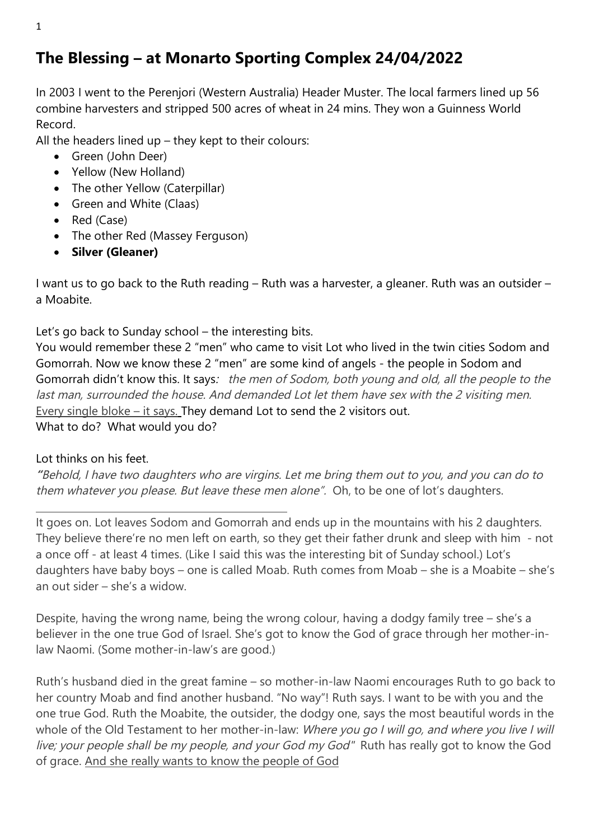## **The Blessing – at Monarto Sporting Complex 24/04/2022**

In 2003 I went to the Perenjori (Western Australia) Header Muster. The local farmers lined up 56 combine harvesters and stripped 500 acres of wheat in 24 mins. They won a Guinness World Record.

All the headers lined  $up$  – they kept to their colours:

- Green (John Deer)
- Yellow (New Holland)
- The other Yellow (Caterpillar)
- Green and White (Claas)
- Red (Case)
- The other Red (Massey Ferguson)
- **Silver (Gleaner)**

I want us to go back to the Ruth reading – Ruth was a harvester, a gleaner. Ruth was an outsider – a Moabite.

Let's go back to Sunday school – the interesting bits.

You would remember these 2 "men" who came to visit Lot who lived in the twin cities Sodom and Gomorrah. Now we know these 2 "men" are some kind of angels - the people in Sodom and Gomorrah didn't know this. It says: the men of Sodom, both young and old, all the people to the last man, surrounded the house. And demanded Lot let them have sex with the 2 visiting men. Every single bloke – it says. They demand Lot to send the 2 visitors out. What to do? What would you do?

Lot thinks on his feet.

**"**Behold, I have two daughters who are virgins. Let me bring them out to you, and you can do to them whatever you please. But leave these men alone". Oh, to be one of lot's daughters.

It goes on. Lot leaves Sodom and Gomorrah and ends up in the mountains with his 2 daughters. They believe there're no men left on earth, so they get their father drunk and sleep with him - not a once off - at least 4 times. (Like I said this was the interesting bit of Sunday school.) Lot's daughters have baby boys – one is called Moab. Ruth comes from Moab – she is a Moabite – she's an out sider – she's a widow.

Despite, having the wrong name, being the wrong colour, having a dodgy family tree – she's a believer in the one true God of Israel. She's got to know the God of grace through her mother-inlaw Naomi. (Some mother-in-law's are good.)

Ruth's husband died in the great famine – so mother-in-law Naomi encourages Ruth to go back to her country Moab and find another husband. "No way"! Ruth says. I want to be with you and the one true God. Ruth the Moabite, the outsider, the dodgy one, says the most beautiful words in the whole of the Old Testament to her mother-in-law: Where you go I will go, and where you live I will live; your people shall be my people, and your God my God" Ruth has really got to know the God of grace. And she really wants to know the people of God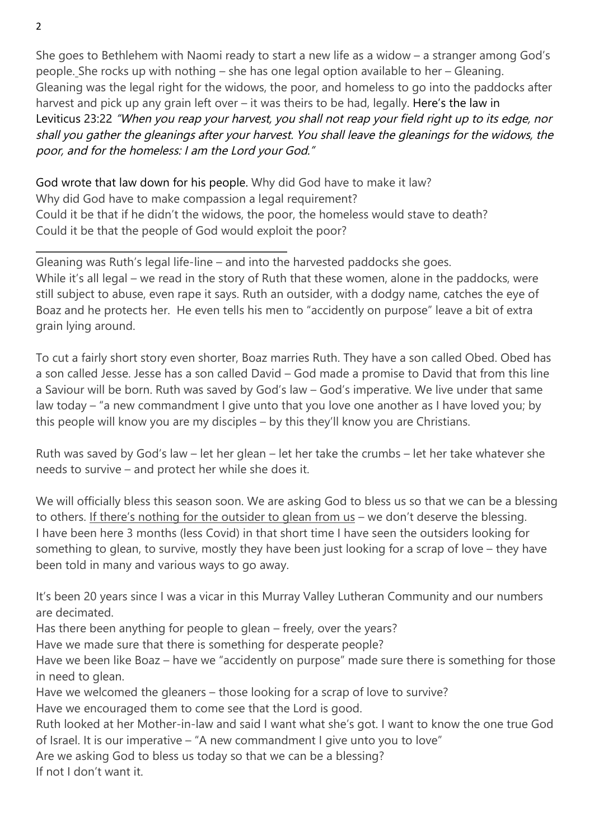She goes to Bethlehem with Naomi ready to start a new life as a widow – a stranger among God's people. She rocks up with nothing – she has one legal option available to her – Gleaning. Gleaning was the legal right for the widows, the poor, and homeless to go into the paddocks after harvest and pick up any grain left over – it was theirs to be had, legally. Here's the law in Leviticus 23:22 "When you reap your harvest, you shall not reap your field right up to its edge, nor shall you gather the gleanings after your harvest. You shall leave the gleanings for the widows, the poor, and for the homeless: I am the Lord your God."

God wrote that law down for his people. Why did God have to make it law? Why did God have to make compassion a legal requirement? Could it be that if he didn't the widows, the poor, the homeless would stave to death? Could it be that the people of God would exploit the poor?

Gleaning was Ruth's legal life-line – and into the harvested paddocks she goes. While it's all legal – we read in the story of Ruth that these women, alone in the paddocks, were still subject to abuse, even rape it says. Ruth an outsider, with a dodgy name, catches the eye of Boaz and he protects her. He even tells his men to "accidently on purpose" leave a bit of extra grain lying around.

To cut a fairly short story even shorter, Boaz marries Ruth. They have a son called Obed. Obed has a son called Jesse. Jesse has a son called David – God made a promise to David that from this line a Saviour will be born. Ruth was saved by God's law – God's imperative. We live under that same law today – "a new commandment I give unto that you love one another as I have loved you; by this people will know you are my disciples – by this they'll know you are Christians.

Ruth was saved by God's law – let her glean – let her take the crumbs – let her take whatever she needs to survive – and protect her while she does it.

We will officially bless this season soon. We are asking God to bless us so that we can be a blessing to others. If there's nothing for the outsider to glean from us – we don't deserve the blessing. I have been here 3 months (less Covid) in that short time I have seen the outsiders looking for something to glean, to survive, mostly they have been just looking for a scrap of love – they have been told in many and various ways to go away.

It's been 20 years since I was a vicar in this Murray Valley Lutheran Community and our numbers are decimated.

Has there been anything for people to glean – freely, over the years?

Have we made sure that there is something for desperate people?

Have we been like Boaz – have we "accidently on purpose" made sure there is something for those in need to glean.

Have we welcomed the gleaners – those looking for a scrap of love to survive?

Have we encouraged them to come see that the Lord is good.

Ruth looked at her Mother-in-law and said I want what she's got. I want to know the one true God of Israel. It is our imperative – "A new commandment I give unto you to love"

Are we asking God to bless us today so that we can be a blessing?

If not I don't want it.